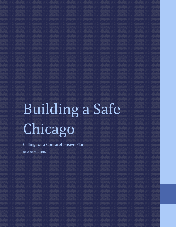# Building a Safe Chicago

Calling for a Comprehensive Plan

November 3, 2016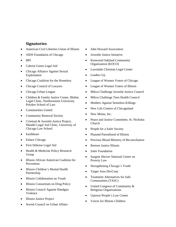#### **Signatories**

- American Civil Liberties Union of Illinois
- AIDS Foundation of Chicago
- BPI
- Cabrini Green Legal Aid
- Chicago Alliance Against Sexual Exploitation
- Chicago Coalition for the Homeless
- Chicago Council of Lawyers
- Chicago Urban League
- Children & Family Justice Center, Bluhm Legal Clinic, Northwestern University Pritzker School of Law
- Communities United
- Community Renewal Society
- Criminal & Juvenile Justice Project, Mandel Legal Aid Clinic, University of Chicago Law School
- Earthheart
- Enlace Chicago
- First Defense Legal Aid
- Health & Medicine Policy Research Group
- Illinois African American Coalition for Prevention
- Illinois Children's Mental Health Partnership
- Illinois Collaboration on Youth
- Illinois Consortium on Drug Policy
- Illinois Council Against Handgun Violence
- Illinois Justice Project
- Jewish Council on Urban Affairs
- John Howard Association
- Juvenile Justice Initiative
- Kenwood Oakland Community Organization (KOCO)
- Lawndale Christian Legal Center
- Leaders Up
- League of Women Voters of Chicago
- League of Women Voters of Illinois
- Mikva Challenge Juvenile Justice Council
- Mikva Challenge Teen Health Council
- Mothers Against Senseless Killings
- New Life Centers of Chicagoland
- New Moms, Inc.
- Peace and Justice Committee, St. Nicholas Church
- People for a Safer Society
- Planned Parenthood of Illinois
- Precious Blood Ministry of Reconciliation
- Restore Justice Illinois
- Safer Foundation
- Sargent Shriver National Center on Poverty Law
- Strengthening Chicago's Youth
- Target Area DevCorp
- Treatment Alternatives for Safe Communities (TASC)
- United Congress of Community & Religious Organizations
- Uptown People's Law Center
- Voices for Illinois Children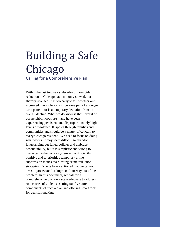## Building a Safe Chicago

Calling for a Comprehensive Plan

Within the last two years, decades of homicide reduction in Chicago have not only slowed, but sharply reversed. It is too early to tell whether our increased gun violence will become part of a longerterm pattern, or is a temporary deviation from an overall decline. What we do know is that several of our neighborhoods are – and have been – experiencing persistent and disproportionately high levels of violence. It ripples through families and communities and should be a matter of concern to every Chicago resident. We need to focus on doing what works. It may seem difficult to abandon longstanding but failed policies and embrace accountability, but it is simplistic and wrong to characterize the justice system as insufficiently punitive and to prioritize temporary crime suppression tactics over lasting crime reduction strategies. Experts have cautioned that we cannot arrest,<sup>1</sup> prosecute,<sup>2</sup> or imprison<sup>3</sup> our way out of the problem. In this document, we call for a comprehensive plan on a scale adequate to address root causes of violence, setting out five core components of such a plan and offering smart tools for decision-making.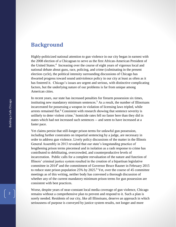## **Background**

Highly-politicized national attention to gun violence in our city began in earnest with the 2008 election of a Chicagoan to serve as the first African-American President of the United States.<sup>4</sup> Increasing over the course of eight years of vigorous local and national debate about guns, race, policing, and crime (culminating in the present election cycle), the political intensity surrounding discussions of Chicago has thwarted progress toward sound antiviolence policy in our city at least as often as it has fostered it. Chicago's issues are urgent and serious, with distinctive complicating factors, but the underlying nature of our problems is far from unique among American cities.

<span id="page-3-0"></span>In recent years, our state has increased penalties for firearm possession six times, instituting new mandatory minimum sentences.<sup>5</sup> As a result, the number of Illinoisans incarcerated for possessing a weapon in violation of licensing laws tripled, while arrests remained flat.<sup>6</sup> Consistent with research showing that sentence severity is unlikely to deter violent crime,<sup>7</sup> homicide rates fell no faster here than they did in states which had not increased such sentences -- and seem to have increased at a faster pace.

<span id="page-3-1"></span>Yet claims persist that still-longer prison terms for unlawful gun possession, including further constraints on impartial sentencing by a judge, are necessary in order to address gun violence. Lively policy discussions of the matter in the Illinois General Assembly in 2013 revealed that our state's longstanding practice of lengthening prison terms piecemeal and in isolation as a rash response to crime has contributed to debilitating, overcrowded, and counterproductive levels of incarceration. Public calls for a complete reevaluation of the nature and function of Illinois' criminal justice system resulted in the creation of a bipartisan legislative committee in 2014<sup>8</sup> and the commitment of Governor Bruce Rauner in February 2015 to reduce state prison population  $25\%$  by  $2025<sup>9</sup>$  Yet, over the course of 45 committee meetings as of this writing, neither body has convened a thorough discussion of whether any of the current mandatory minimum prison terms for gun possession are consistent with best practices.

Worse, despite years of near-constant local media coverage of gun violence, Chicago remains without a comprehensive plan to prevent and respond to it. Such a plan is sorely needed. Residents of our city, like all Illinoisans, deserve an approach in which seriousness of purpose is conveyed by justice system results, not longer and more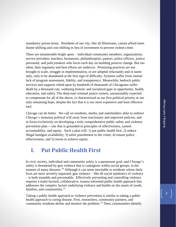mandatory prison terms. Residents of our city, like all Illinoisans, cannot afford more blame-shifting and cost-shifting in lieu of investment to prevent violent crime.

There are innumerable bright spots – individual community members, organizations, service providers, teachers, businesses, philanthropists, pastors, police officers, justice personnel, and policymakers who focus each day on building positive change. But too often, their ingenuity and best efforts are undercut. Promising practices are not brought to scale, struggle in implementation, or are adopted reluctantly and in name only, only to be abandoned at the first sign of difficulty. Systems suffer from routine lack of program assessment, fidelity, and transparency. Meanwhile, bedrock public services and supports relied upon by hundreds of thousands of Chicagoans suffer death by a thousand cuts, widening historic and racialized gaps in opportunity, health, education, and safety. The deep-end criminal justice system, unreasonably expected to compensate for all of the above, is characterized as our first political priority or our only remaining hope, despite the fact that it is our most expensive and least effective tool.

Chicago can do better. We call on residents, media, and stakeholders alike to redirect Chicago's immense political will away from reactionary and unproven policies, and to focus exclusively on developing a truly comprehensive public safety and violence prevention plan -- one that is grounded in principles of effectiveness, system accountability, and equity. Such a plan will: 1) put public health first; 2) reduce illegal handgun availability; 3) tailor punishment to the crime; 4) ensure police effectiveness, and 5) invest to achieve equity.

## **I. Put Public Health First**

In civic society, individual and community safety is a paramount goal; and Chicago's safety is threatened by gun violence that is contagious within social groups, in the manner of many diseases.<sup>10</sup> Although it can seem inevitable to residents whose daily lives are most severely impacted, gun violence – like all social epidemics of violence – is both treatable and preventable. Effectively preventing and controlling violence requires a multi-faceted, collaborative, trauma-informed public health approach that addresses the complex factors underlying violence and builds on the assets of youth, families, and communities. $11$ 

Taking a public health approach to violence prevention is similar to taking a public health approach to curing disease. First, researchers, community partners, and community residents define and monitor the problem.<sup>12</sup> Then, communities identify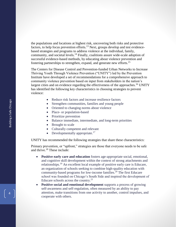the populations and locations at highest risk, uncovering both risks and protective factors, to help focus prevention efforts.<sup>13</sup> Next, groups develop and test evidencebased strategies and programs to address violence at the individual, family, community, and societal levels.<sup>14</sup> Finally, coalitions assure wide-scale adoption of successful evidence-based methods, by educating about violence prevention and fostering partnerships to strengthen, expand, and generate new efforts.<sup>15</sup>

The Centers for Disease Control and Prevention-funded Urban Networks to Increase Thriving Youth Through Violence Prevention ("UNITY") led by the Prevention Institute have developed a set of recommendations for a comprehensive approach to community violence prevention based on input from stakeholders in the nation's largest cities and on evidence regarding the effectiveness of the approaches.<sup>16</sup> UNITY has identified the following key characteristics in choosing strategies to prevent violence:

- <span id="page-5-0"></span>• Reduce risk factors and increase resilience factors
- Strengthen communities, families and young people
- Oriented to changing norms about violence
- Place- or population-based
- Prioritize prevention
- Balance immediate, intermediate, and long-term priorities
- Brought to scale
- Culturally competent and relevant
- Developmentally appropriate. $17$

UNITY has recommended the following strategies that share these characteristics:

Primary prevention, or "upfront," strategies are those that everyone needs to be safe and thrive.<sup>18</sup> These include:

- **Positive early care and education** fosters age-appropriate social, emotional, and cognitive skill development within the context of strong attachments and relationships.<sup>19</sup> An excellent local example of positive early care is Educare, an organization of schools seeking to combine high-quality education with community-based programs for low-income families.<sup>20</sup> The first Educare school was founded on Chicago's South Side and inspired the development of Educare schools across the country. $^{21}$
- **Positive social and emotional development** supports a process of growing self-awareness and self-regulation, often measured by an ability to pay attention, make transitions from one activity to another, control impulses, and cooperate with others.

4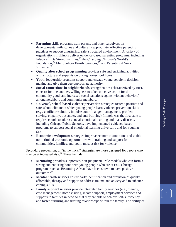- **Parenting skills** programs train parents and other caregivers on developmental milestones and culturally appropriate, effective parenting practices to support a nurturing, safe, structured environment. A variety of organizations in Illinois deliver evidence-based parenting programs, including Educare,<sup>22</sup> Be Strong Families,<sup>23</sup> the Changing Children's World's Foundation,<sup>24</sup> Metropolitan Family Services,<sup>25</sup> and Parenting 4 Non-Violence.<sup>26</sup>
- **Quality after school programming** provides safe and enriching activities with structure and supervision during non-school hours.
- **Youth leadership** programs support and engage young people in decisionmaking and give them age-appropriate authority.
- **Social connections in neighborhoods** strengthen ties (characterized by trust, concern for one another, willingness to take collective action for the community good, and increased social sanctions against violent behaviors) among neighbors and community members.
- **Universal, school-based violence prevention** strategies foster a positive and safe school climate in which young people learn violence prevention skills (e.g., conflict resolution, impulse control, anger management, problem solving, empathy, bystander, and anti-bullying). Illinois was the first state to require schools to address social-emotional learning and many districts, including Chicago Public Schools, have implemented evidence-based programs to support social-emotional learning universally and for youth at risk.<sup>27</sup>
- **Economic development** strategies improve economic conditions and viable non-criminal economic opportunities with training and support for communities, families, and youth most at risk for violence.

Secondary prevention, or "in the thick," strategies are those designed for people who may be at increased risk.<sup>28</sup> These include:

- **Mentoring** provides supportive, non-judgmental role models who can form a strong and enduring bond with young people who are at risk. Chicago programs such as Becoming A Man have been shown to have positive outcomes.<sup>29</sup>
- **Mental health services** ensure early identification and provision of quality, affordable, therapy and support to address trauma and anxiety and to enhance coping skills.
- **Family support services** provide integrated family services (e.g., therapy, case management, home visiting, income support, employment services and support) to families in need so that they are able to achieve self-sufficiency and foster nurturing and trusting relationships within the family. The ability of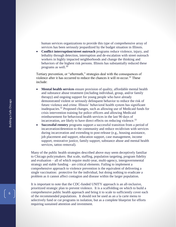human services organizations to provide this type of comprehensive array of services has been seriously jeopardized by the budget situation in Illinois.

 **Conflict interruption/street outreach** programs reduce violence, injury, and lethality through detection, interruption and de-escalation with street outreach workers in highly impacted neighborhoods and change the thinking and behaviors of the highest risk persons. Illinois has substantially reduced these programs as well. 30

Tertiary prevention, or "aftermath," strategies deal with the consequences of violence after it has occurred to reduce the chances it will re-occur.<sup>31</sup> These include:

- **Mental health services** ensure provision of quality, affordable mental health and substance abuse treatment (including individual, group, and/or family therapy) and ongoing support for young people who have already demonstrated violent or seriously delinquent behavior to reduce the risk of future violence and crime. Illinois' behavioral health system has significant inadequacies. <sup>32</sup> Proposed changes, such as allowing use of Medicaid funds for crisis intervention training for police officers and allowing Medicaid reimbursement for behavioral health services in the last 90 days of incarceration, are likely to have direct effects on reducing violence.<sup>33</sup>
- **Successful reentry** programs support a successful transition from a period of incarceration/detention to the community and reduce recidivism with services during incarceration and extending to post-release (e.g., housing assistance, job placement and support, education support, case management, income support, restorative justice, family support, substance abuse and mental health services, tattoo removal).

Many of the public health strategies described above may seem deceptively familiar to Chicago policymakers. But scale, staffing, population targeting, program fidelity and evaluation – all of which require multi-year, multi-agency, intergovernmental strategy and stable funding – are critical elements. Failing to implement a comprehensive approach to violence prevention is the equivalent of delivering a single vaccination: protective for the individual, but doing nothing to eradicate a problem as it cannot affect contagion and disease within the larger population.

It is important to note that the CDC-funded UNITY approach is an all-inclusive, prioritized strategic plan to prevent violence. It is a scaffolding on which to build a comprehensive public health approach and bring it to scale to sufficiently cover each of the recommended populations. It should not be used as an a la carte menu to selectively fund or cut programs in isolation, but as a complete blueprint for efforts requiring sustained attention and investment.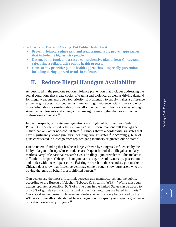**Smart Tools for Decision-Making: Put Public Health First**

- **Prevent violence, reduce risk, and treat trauma using proven approaches that include the highest-risk people.**
- **Design, build, fund, and assess a comprehensive plan to keep Chicagoans safe, using a collaborative public health process.**
- **Consistently prioritize public health approaches -- especially prevention – including during upward trends in violence.**

## **II. Reduce Illegal Handgun Availability**

As described in the previous section, violence prevention that includes addressing the social conditions that create cycles of trauma and violence, as well as driving demand for illegal weapons, must be a top priority. But attention to supply makes a difference as well – gun access is of course instrumental to gun violence. Guns make violence more lethal; despite similar rates of overall violence, firearm homicide rates among American adolescents and young adults are eight times higher than rates in other high-income countries.<sup>34</sup>

In many respects, our state gun regulations are tough but fair; the Law Center to Prevent Gun Violence rates Illinois laws a "B+" – more than one full letter-grade higher than any other non-coastal state.<sup>35</sup> Illinois shares a border with six states that have significantly looser gun laws, including two "F" states.<sup>36</sup> Accordingly, 60% of guns confiscated in Chicago from reputed gang members originated out-of-state.<sup>37</sup>

Due to federal funding that has been largely frozen by Congress, influenced by the lobby of a gun industry whose products are frequently traded on illegal secondary markets, very little national research exists on illegal gun prevalence. This makes it difficult to compare Chicago's handgun habits (e.g. rates of ownership, possession, and trade) with those in peer cities. Existing research on the secondary gun market in Chicago does show that fifteen percent may come through straw purchasers who are buying the guns on behalf of a prohibited person.  $38$ 

Gun dealers are the most critical link between gun manufacturers and the public, according to the Bureau of Alcohol, Tobacco & Firearms (ATF).<sup>39</sup> While most gun dealers operate responsibly, 90% of crime guns in the United States can be traced to only 5% of gun dealers – and a handful of the most notorious are based in Illinois.<sup>40</sup> Our state does not currently license gun dealers, who must only be licensed by the ATF – a chronically-understaffed federal agency with capacity to inspect a gun dealer only about once every 17 years.<sup>41</sup>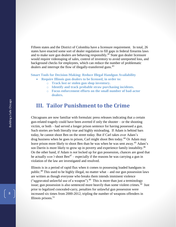Fifteen states and the District of Colombia have a licensure requirement. In total, 26 states have enacted some sort of dealer regulation to fill gaps in federal firearms laws and to make sure gun dealers are behaving responsibly.<sup>42</sup> State gun dealer licensure would require videotaping of sales, control of inventory to avoid unreported loss, and background checks for employees, which can reduce the number of problematic dealers and interrupt the flow of illegally-transferred guns.<sup>43</sup>

**Smart Tools for Decision-Making: Reduce Illegal Handgun Availability**

- **Require Illinois gun dealers to be licensed, in order to:**
	- o **Track lost or stolen gun shop inventory.**
	- o **Identify and track probable straw purchasing incidents.**
	- o **Focus enforcement efforts on the small number of bad-actor dealers.**

## **III. Tailor Punishment to the Crime**

Chicagoans are now familiar with formulaic press releases indicating that a certain gun-related tragedy could have been averted if only the shooter – or the shooting victim, or both – had served a longer prison sentence for having possessed a gun. Such stories are both literally true and highly misleading. If Adam is behind bars today, he cannot shoot Ben on the street today. But if Carl takes over Adam's drug business when he goes to prison, Carl might shoot Ben today.<sup>44</sup> Or Adam may leave prison more likely to shoot Ben than he was when he was sent away.<sup>45</sup> Adam's son Darrin is more likely to grow up in poverty and experience family instability.<sup>46</sup> On the other hand, if Adam is *not* locked up for gun possession, chances are good that he actually *won't* shoot Ben<sup>47</sup> – especially if the reasons he was carrying a gun in violation of the law are investigated and resolved.

<span id="page-9-1"></span><span id="page-9-0"></span>Illinois is in a period of rapid flux when it comes to possessing loaded handguns in public.<sup>48</sup> This used to be highly illegal, no matter what – and our gun possession laws are written as though everyone who breaks them intends imminent violence ("aggravated unlawful use of a weapon"). $49$  This is more than just a terminology issue; gun possession is also sentenced more heavily than some violent crimes.<sup>50</sup> Just prior to legalized concealed-carry, penalties for unlawful gun possession were increased six times from 2000-2012, tripling the number of weapons offenders in Illinois prisons. $51$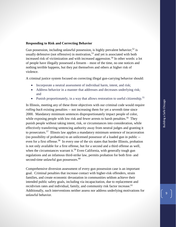#### **Responding to Risk and Correcting Behavior**

<span id="page-10-0"></span>Gun possession, including unlawful possession, is highly prevalent behavior;<sup>52</sup> is usually defensive (not offensive) in motivation,  $5<sup>3</sup>$  and yet is associated with both increased risk of victimization and with increased aggression.<sup>54</sup> In other words: a lot of people have illegally possessed a firearm – most of the time, no one notices and nothing terrible happens, but they put themselves and others at higher risk of violence.

A criminal justice system focused on correcting illegal gun-carrying behavior should:

- Incorporate a neutral assessment of individual harm, intent, and risk;
- Address behavior in a manner that addresses and decreases underlying risk; and
- Punish proportionately, in a way that allows restoration to useful citizenship.<sup>55</sup>

In Illinois, meeting any of these three objectives with our criminal code would require *rolling back* existing penalties -- not increasing them for yet a seventh time since 2000. Mandatory minimum sentences disproportionately impact people of color, while exposing people with low risk and fewer arrests to harsh penalties.<sup>56</sup> They punish people without taking intent, risk, or circumstances into consideration, while effectively transferring sentencing authority away from neutral judges and granting it to prosecutors.<sup>57</sup> Illinois law applies a mandatory minimum sentence of incarceration (no possibility of probation) to an unlicensed possessor of a loaded gun in public - even for a first offense.<sup>58</sup> In every one of the six states that border Illinois, probation is not only available for a first offense, but for a second and a third offense as well, when the circumstances warrant it.<sup>59</sup> Even California, with generally tough gun regulations and an infamous third-strike law, permits probation for both first- and second-time unlawful gun possessors.<sup>60</sup>

Comprehensive diversion assessment of every gun possession case is an important goal. Criminal penalties that increase contact with higher-risk offenders, strain families, and create economic devastation in communities seldom achieve their intended public safety goals, including via incapacitation, due to replacement and recidivism rates and individual, family, and community risk factor increase.<sup>61</sup> Additionally, such interventions neither assess nor address underlying motivations for unlawful behavior.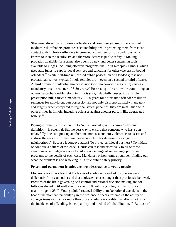Structured diversion of low-risk offenders and community-based supervision of medium-risk offenders promotes accountability, while protecting them from close contact with high-risk offenders in crowded and violent prison conditions, which is known to increase recidivism and therefore decrease public safety.<sup>62</sup> Making probation available for a crime also opens up new and better sentencing tools available to judges, including effective programs like Adult Redeploy Illinois, which uses state funds to support local services and sanctions for otherwise prison-bound offenders. <sup>63</sup> While first-time unlicensed public possession of a loaded gun is not probationable, most typical Illinois felonies are -- even on a second or third offense. A third offense of unlawful gun possession (with no co-occurring crime) carries a mandatory prison sentence of  $6-30$  years.<sup> $64$ </sup> Possessing a firearm while committing an otherwise-probationable felony in Illinois (say, unlawfully possessing a single prescription pill) carries a mandatory 15-30 years for a first-time offender. <sup>65</sup> Illinois sentences for nonviolent gun possession are not only disproportionately mandatory and lengthy when compared to regional states' penalties, they are misaligned with other crimes in Illinois, including offenses against another person, like aggravated battery.<sup>66</sup>

Paying extremely close attention to "repeat violent gun possessors" – by any definition – is essential. But the best way to ensure that someone who has a gun unlawfully does not pick up another one, nor escalate into violence, is to assess and address the reasons for their gun possession. Is it for defense in a dangerous neighborhood? Because it conveys status? To protect an illegal business? To initiate or continue a pattern of violence? Courts can respond effectively to all of these situations when judges are able to tailor a wide range of sentencing options and programs to the details of each case. Mandatory prison terms circumvent finding out what the problem is and resolving  $it - a$  true public safety priority.

#### **Prison and permanent felonies are most destructive to young people.**

Modern research is clear that the brains of adolescents and adults operate very differently from each other and that adolescence lasts longer than previously believed. Portions of the brain governing self-control and rational decision making are not fully-developed until well after the age of 18, with psychological maturity occurring near the age of 25.<sup>67</sup> Young adults' reduced ability to make rational decisions in the heat of the moment, particularly in the presence of peers, resembles the ability of younger teens as much or more than those of adults – a reality that affects not only the incidence of offending, but culpability and method of rehabilitation. <sup>68</sup> Because of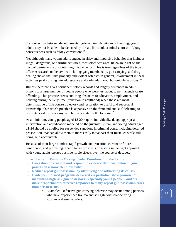the connection between developmentally-driven impulsivity and offending, young adults may not be able to be deterred by threats like adult criminal court or lifelong consequences such as felony convictions.<sup>69</sup>

Yet although many young adults engage in risky and impulsive behavior that includes illegal, dangerous, or harmful activities, most offenders aged 18-24 are right on the cusp of permanently discontinuing this behavior. This is true regardless of the type of offense; research on behaviors including gang membership, gun carrying, and drug dealing shows that, like property and violent offenses in general, involvement in these activities peaks during late adolescence and early adulthood, but quickly subsides.<sup>70</sup>

Illinois therefore gives permanent felony records and lengthy sentences in adult prisons to a large number of young people who were just about to permanently cease offending. This practice erects enduring obstacles to education, employment, and housing during the very time (transition to adulthood) when these are most determinative of life course trajectory and restoration to useful and successful citizenship. Our state's practice is expensive on the front end and self-defeating to our state's safety, economy, and human capital in the long run.<sup>71</sup>

At a minimum, young people aged 18-20 require individualized, age-appropriate intervention and adjudication modeled on the juvenile system, and young adults aged 21-24 should be eligible for suspended sanctions in criminal court, including deferred prosecution, that can allow them to more easily move past their mistakes while still being held accountable.

Because of their large number, rapid growth and transition, current or future parenthood, and promising rehabilitative prospects, investing in the right approach with young adults creates positive ripple effects over the course of decades.

#### **Smart Tools for Decision-Making: Tailor Punishment to the Crime**

- o **Laws should recognize and respond to evidence that most unlawful gun possession is nonviolent, but risky.**
- o **Reduce repeat gun possession by identifying and addressing its causes.**
- o **Evidence-informed programs delivered via probation show promise for medium-to-high risk gun possessors – especially young people – and are more proportionate, effective responses to many repeat gun possession cases than prison terms.**
	- o Example: Defensive gun carrying behavior may occur among persons who have experienced trauma and struggle with co-occurring substance abuse disorders.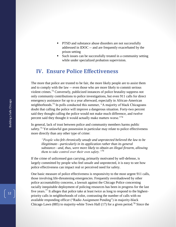- PTSD and substance abuse disorders are not successfully addressed in IDOC -- and are frequently exacerbated by the prison setting
- Such issues can be successfully treated in a community setting while under specialized probation supervision.

### **IV. Ensure Police Effectiveness**

The more that police are trusted to be fair, the more likely people are to assist them and to comply with the law -- even those who are more likely to commit serious violent crimes.<sup>72</sup> Conversely, publicized instances of police brutality suppress not only community contributions to police investigations, but even 911 calls for direct emergency assistance for up to a year afterward, especially in African-American neighborhoods.<sup>73</sup> In polls conducted this summer, "A majority of black Chicagoans" doubt that calling the police will improve a dangerous situation. Forty-two percent said they thought calling the police would not make much difference, and twelve percent said they thought it would actually make matters worse."<sup>74</sup>

In general, lack of trust between police and community members harms public safety.<sup>75</sup> Yet unlawful gun possession in particular may relate to police effectiveness more directly than any other type of crime:

*"People who felt chronically unsafe and unprotected believed the law to be illegitimate—particularly in its application rather than its general substance—and, thus, were more likely to obtain an illegal firearm, allowing them to take control over their own safety."<sup>76</sup>*

If the crime of unlicensed gun carrying, primarily motivated by self-defense, is largely committed by people who feel unsafe and unprotected, it is easy to see how police effectiveness can impact real or perceived need for safety.

One basic measure of police effectiveness is responsivity to the most urgent 911 calls, those involving life-threatening emergencies. Frequently overshadowed by other police accountability concerns, a lawsuit against the Chicago Police concerning racially inequitable deployment of policing resources has been in progress for the last five years.<sup>77</sup> It alleges that police take at least twice as long to respond to the highestpriority calls in neighborhoods of color, contrasting the number of calls with no available responding officer ("Radio Assignment Pending") in majority-black Chicago Lawn (885) to majority-white Town Hall (17) for a given period.<sup>78</sup> Since the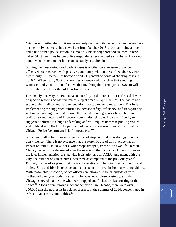Building a Safe Chicago Building a Safe Chicago

City has not settled the suit it seems unlikely that inequitable deployment issues have been entirely resolved. In a news item from October 2016, a woman living a block and a half from a police station in a majority-black neighborhood claimed to have called 911 three times before police responded after she used a crowbar to knock out a man who broke into her home and sexually assaulted her.<sup>79</sup>

Solving the most serious and violent cases is another core measure of police effectiveness, recursive with positive community relations. As of October 3, CPD closed only 21.0 percent of homicide and 2.6 percent of nonfatal shooting cases in  $2016$ <sup>80</sup> When nearly 95% of shootings are unsolved, it is clear that shooting witnesses and victims do not believe that involving the formal justice system will protect their safety, or that of their loved ones.

Fortunately, the Mayor's Police Accountability Task Force (PATF) released dozens of specific reforms across five major subject areas in April 2016.<sup>81</sup> The nature and scope of the findings and recommendations are too many to repeat here. But fullyimplementing the suggested reforms to increase safety, efficiency, and transparency will make policing in our city more effective at reducing gun violence, both in addition to and because of improved community relations. However, fidelity to suggested reforms is a huge undertaking and will require immense public pressure and political will; the U.S. Department of Justice's concurrent investigation of the Chicago Police Department is its "biggest ever."<sup>82</sup>

Some have called for an increase in the use of stop and frisk as a strategy to reduce gun violence. There is no evidence that the systemic use of this practice has an impact on crime. In New York, when stops dropped, crime did as well.<sup>83</sup> Here in Chicago, when stops decreased after the release of the Laquan McDonald video and the later implementation of statewide legislation and an ACLU agreement with the City, the number of gun seizures increased, as compared to the previous year. $84$ Further, the use of stop and frisk harms the relationship between the community and police. Stop and frisk is invasive and happens on the street in front of your neighbors. With reasonable suspicion, police officers are allowed to touch outside of your clothes, all over your body, in a search for weapons. Unsurprisingly, a study in Chicago showed that people who were stopped and frisked are less trusting of the police.<sup>85</sup> Stops often involve innocent behavior—in Chicago, there were over 250,000 that did not result in a ticket or arrest in the summer of 2014, concentrated in African-American communities.<sup>86</sup>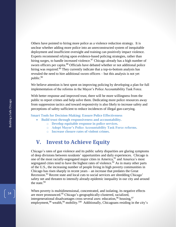Others have pointed to hiring more police as a violence reduction strategy. It is unclear whether adding more police into an unreconstructed system of inequitable deployment and insufficient oversight and training can positively impact violence. Experts recommend relying upon evidence-based policing strategies, rather than hiring surges, to handle increased violence.<sup>87</sup> Chicago already has a high number of sworn officers per capita.<sup>88</sup> Officials have debated whether or not additional police hiring was required.<sup>89</sup> They currently indicate that a top-to-bottom analysis has revealed the need to hire additional sworn officers – but this analysis is not yet public.<sup>90</sup>

We believe attention is best spent on improving policing by developing a plan for full implementation of the reforms in the Mayor's Police Accountability Task Force.

With better response and improved trust, there will be more willingness from the public to report crimes and help solve them. Dedicating more police resources away from suppression tactics and toward responsivity is also likely to increase safety and perceptions of safety sufficient to reduce incidences of illegal gun-carrying.

**Smart Tools for Decision-Making: Ensure Police Effectiveness**

- **Build trust through responsiveness and accountability.** 
	- o **Develop equitable response in police services.**
	- o **Adopt Mayor's Police Accountability Task Force reforms.**
	- o **Increase closure rates of violent crimes.**

## **V. Invest to Achieve Equity**

Chicago's rates of gun violence and its public safety disparities are glaring symptoms of deep divisions between residents' opportunities and daily experiences. Chicago is one of the most racially-segregated major cities in America, <sup>91</sup> and America's most segregated cities tend to have the highest rates of violence.<sup>92</sup> As in many other parts of the U.S., the increasing number of people living in high poverty communities in Chicago has risen sharply in recent years – an increase that predates the Great Recession.<sup>93</sup> Recent state and local cuts to social services are shredding Chicago' safety net and threaten to intensify already-epidemic inequality in our city and around the state.<sup>94</sup>

<span id="page-15-0"></span>When poverty is multidimensional, concentrated, and isolating, its negative effects are more pronounced.<sup>95</sup> Chicago's geographically-clustered, racialized, intergenerational disadvantages cross several axes: education,  $96$  housing,  $97$ employment,<sup>98</sup> wealth,<sup>99</sup> mobility.<sup>100</sup> Additionally, Chicagoans residing in the city's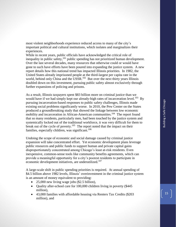most violent neighborhoods experience reduced access to many of the city's important political and cultural institutions, which isolates and marginalizes their experiences.

While in recent years, public officials have acknowledged the critical role of inequality in public safety,<sup>101</sup> public spending has not prioritized human development. Over the last several decades, many resources that otherwise could or would have gone to such have efforts have been poured into expanding the justice system. A new report details how this national trend has impacted Illinois priorities. In 1982, the United States already imprisoned people at the third-largest per capita rate in the world, behind only China and the USSR.<sup>102</sup> But over the next thirty years Illinois doubled down on this investment, pursuing public safety almost exclusively through further expansions of policing and prisons.

As a result, Illinois taxpayers spent \$83 billion more on criminal justice than we would have if we had simply kept our already-high rates of incarceration level.<sup>103</sup> By pursuing incarceration-based responses to public safety challenges, Illinois made existing social problems significantly worse. In 2010, the Pew Center on the States produced a groundbreaking study that showed the linkage between low economic mobility and incarceration in African-American communities.<sup>104</sup> The report found that so many residents, particularly men, had been touched by the justice system and systemically locked out of the traditional workforce, it was very difficult for them to break out of the cycle of poverty.<sup>105</sup> The report noted that the impact on their families, especially children, was significant.<sup>106</sup>

Undoing the scope of economic and social damage caused by criminal justice expansion will take concentrated effort. Yet economic development plans leverage public resources and public funds to support human and private capital gains disproportionately concentrated among Chicago's least at-risk residents. Even inexpensive, common-sense tools like community benefits agreements, which can provide a meaningful opportunity for a city's poorest residents to participate in economic development initiatives, are underutilized.<sup>107</sup>

A large-scale shift in public spending priorities is required. At annual spending of \$4.5 billion above 1982 levels, Illinois' overinvestment in the criminal justice system is an amount of money equivalent to providing:

- 25,000 new living wage jobs (\$2.5 billion),
- Ouality after-school care for 100,000 children living in poverty (\$445) million),
- 43,000 families with affordable housing via Renters Tax Credits (\$203 million), and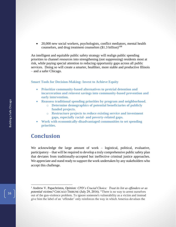• 20,000 new social workers, psychologists, conflict mediators, mental health counselors, and drug treatment counselors  $(\$1.3$  billion)<sup>108</sup>

An intelligent and equitable public safety strategy will realign public spending priorities to channel resources into strengthening (not suppressing) residents most at risk, while paying special attention to reducing opportunity gaps across all public services. Doing so will create a smarter, healthier, more stable and productive Illinois – and a safer Chicago.

#### **Smart Tools for Decision-Making: Invest to Achieve Equity**

- **Prioritize community-based alternatives to pretrial detention and incarceration and reinvest savings into community-based prevention and early intervention.**
- **Reassess traditional spending priorities by program and neighborhood.**
	- o **Determine demographics of potential beneficiaries of publicly funded projects.**
	- o **Restructure projects to reduce existing service and investment gaps, especially racial- and poverty-related gaps.**
- **Work with economically-disadvantaged communities to set spending priorities.**

## **Conclusion**

We acknowledge the large amount of work – logistical, political, evaluative, participatory – that will be required to develop a truly comprehensive public safety plan that deviates from traditionally-accepted but ineffective criminal justice approaches. We appreciate and stand ready to support the work undertaken by any stakeholders who accept this challenge.

 $\overline{a}$ 

<sup>1</sup> Andrew V. Papachristos, *Opinion: CPD's Crucial Choice: Treat its list as offenders or as potential victims?* CHICAGO TRIBUNE (July 29, 2016). "There is no way to arrest ourselves out of the gun-violence problem. To ignore someone's vulnerability as a victim and instead give him the label of an 'offender' only reinforces the way in which America devalues the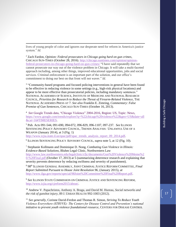lives of young people of color and ignores our desperate need for reform in America's justice system." *Id.* 

 $\overline{a}$ 

<sup>2</sup> Zach Fardon, *Opinion: Federal prosecutors in Chicago going hard on gun crimes*, CHICAGO SUN-TIMES (October 28, 2016). [http://chicago.suntimes.com/opinion/opinion](http://chicago.suntimes.com/opinion/opinion-federal-prosecutors-in-chicago-going-hard-on-gun-crimes/)[federal-prosecutors-in-chicago-going-hard-on-gun-crimes/](http://chicago.suntimes.com/opinion/opinion-federal-prosecutors-in-chicago-going-hard-on-gun-crimes/) "I have said repeatedly that we cannot prosecute our way out of the violence problem in Chicago. It will take a multi-faceted approach including, among other things, improved educational opportunities, jobs and social services. Criminal enforcement is an important part of the solution, and our office's commitment to doing our best on that front will not waver." *Id.*

<sup>3</sup> "Community-based programs and focused policing interventions in general have been found to be effective in reducing violence in some settings (e.g., high-risk physical locations) and appear to be more effective than prosecutorial policies, including mandatory sentences." NATIONAL ACADEMIES OF SCIENCE, INSTITUTE OF MEDICINE AND NATIONAL RESEARCH COUNCIL, *Priorities for Research to Reduce the Threat of Firearm-Related Violence*, THE NATIONAL ACADEMIES PRESS AT 7. *See also* Franklin E. Zimring, *Commentary: False Premise of Gun Sentences,* CHICAGO SUN-TIMES (October 16, 2013).

<sup>4</sup> *See* Google Trends data, "Chicago Violence" 2004-2016, Region: US, Topic: News, [https://www.google.com/trends/explore?q=%22chicago%20violence%22&geo=US&date=all](file:///C:/Users/sko374/Desktop/2016%20oct%20source%20docs%20gun%20memo/available%20at%20https:/www.google.com/trends/explore%3fq=%22chicago%20violence%22&geo=US&date=all&cat=16) [&cat=16#TIMESERIES.](file:///C:/Users/sko374/Desktop/2016%20oct%20source%20docs%20gun%20memo/available%20at%20https:/www.google.com/trends/explore%3fq=%22chicago%20violence%22&geo=US&date=all&cat=16)

<sup>5</sup> Pub. Acts 091-544, 091-690, 094-072, 096-829, 096-1107, 097-237. *See* ILLINOIS SENTENCING POLICY ADVISORY COUNCIL, TRENDS ANALYSIS: UNLAWFUL USE OF A WEAPON (January 2014), at 3 (Fig. 1)

[http://www.icjia.state.il.us/spac/pdf/spac\\_trends\\_analysis\\_report\\_09\\_2014.pdf.](http://www.icjia.state.il.us/spac/pdf/spac_trends_analysis_report_09_2014.pdf)

6 ILLINOIS SENTENCING POLICY ADVISORY COUNCIL, *supra* note [5,](#page-3-0) at 12 (Fig. 10).

<sup>7</sup> Stephanie Kollmann and Dominique D. Nong, *Combating Gun Violence in Illinois: Evidence-Based Solutions*, Bluhm Legal Clinic, Northwestern Law [http://www.law.northwestern.edu/legalclinic/cfjc/documents/Gun%20Violence%20Memo%2](http://www.law.northwestern.edu/legalclinic/cfjc/documents/Gun%20Violence%20Memo%20-%20Final.pdf) [0-%20Final.pdf](http://www.law.northwestern.edu/legalclinic/cfjc/documents/Gun%20Violence%20Memo%20-%20Final.pdf) (October 17, 2013) at 5 (summarizing deterrence research and explaining that severity prevents deterrence by reducing swiftness and severity of punishment).

<sup>8</sup> 98th ILLINOIS GENERAL ASSEMBLY, JOINT CRIMINAL JUSTICE REFORM COMMITTEE, *Final Report Submitted Pursuant to House Joint Resolution 96*, (January 2015), *at* [http://www.ilga.gov/reports/special/98Joint%20Committee%20Final%20Report.pdf.](http://www.ilga.gov/reports/special/98Joint%20Committee%20Final%20Report.pdf)

<sup>9</sup> *See* ILLINOIS STATE COMMISSION ON CRIMINAL JUSTICE AND SENTENCING REFORM, [http://www.icjia.org/cjreform2015/about/.](http://www.icjia.org/cjreform2015/about/)

<sup>10</sup> Andrew V. Papachristos, Anthony A. Braga, and David M. Hureau, *Social networks and the risk of gunshot injury*, 89 J. URBAN HEALTH 992-1003 (2012).

<sup>11</sup> *See generally*, Corinne David-Ferdon and Thomas R. Simon, *Striving To Reduce Youth Violence Everywhere (STRYVE): The Centers for Disease Control and Prevention's national initiative to prevent youth violence foundational resource*, CENTERS FOR DISEASE CONTROL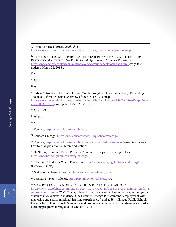AND PREVENTION (2012), *available at*:

[https://www.cdc.gov/violenceprevention/pdf/stryve\\_foundational\\_resource-a.pdf.](https://www.cdc.gov/violenceprevention/pdf/stryve_foundational_resource-a.pdf)

<sup>12</sup> CENTERS FOR DISEASE CONTROL AND PREVENTION, NATIONAL CENTER FOR INJURY PREVENTION & CONTROL, *The Public Health Approach to Violence Prevention*, <http://www.cdc.gov/violenceprevention/overview/publichealthapproach.html> (page last updated March 25, 2015).

<sup>13</sup> *Id.*

 $\overline{a}$ 

<sup>14</sup> *Id.*

<sup>15</sup> *Id.*

<sup>16</sup> Urban Networks to Increase Thriving Youth through Violence Prevention, "Preventing" Violence Before it Occurs: Overview of the UNITY Roadmap," [https://www.preventioninstitute.org/sites/default/files/publications/UNITY\\_RoadMap\\_Preve](https://www.preventioninstitute.org/sites/default/files/publications/UNITY_RoadMap_Prevention_053109.pdf) [ntion\\_053109.pdf](https://www.preventioninstitute.org/sites/default/files/publications/UNITY_RoadMap_Prevention_053109.pdf) (last updated Mar. 25, 2015).

 $17$  *Id.* at 1–3.

<sup>18</sup> *Id.* at 3.

<sup>19</sup> *Id.*

<sup>20</sup> Educare, [http://www.educareschools.org/.](http://www.educareschools.org/)

<sup>21</sup> Educare Chicago, [http://www.educareschools.org/schools/chicago/.](http://www.educareschools.org/schools/chicago/)

<sup>22</sup> Educare,<http://www.educareschools.org/our-approach/educare-model/> (teaching parents how to champion their children's education).

<sup>23</sup> Be Strong Families, "Parent Program Community Projects Preparing to Launch, [http://www.bestrongfamilies.net/tag/chicago/.](http://www.bestrongfamilies.net/tag/chicago/)

<sup>24</sup> Changing Children's World Foundation,<http://www.changingchildrensworlds.org/> (Geneva, Illinois).

<sup>25</sup> Metropolitan Family Services, [https://www.metrofamily.org/.](https://www.metrofamily.org/)

<sup>26</sup> Parenting 4 Non-Violence[, http://parenting4nonviolence.org/.](http://parenting4nonviolence.org/)

<sup>27</sup> MAYOR'S COMMISSION FOR A SAFER CHICAGO, STRATEGIC PLAN FOR 2015, [https://www.cityofchicago.org/city/en/depts/mayor/supp\\_info/the-mayor-s-commission-for-a](https://www.cityofchicago.org/city/en/depts/mayor/supp_info/the-mayor-s-commission-for-a-safer-chicago.html)[safer-chicago.html](https://www.cityofchicago.org/city/en/depts/mayor/supp_info/the-mayor-s-commission-for-a-safer-chicago.html) at 26 ("[Chicago] launched a first-of-its-kind summer program for youth at risk of involvement in violence. One Summer Chicago Plus combines employment with mentoring and social-emotional learning experiences.") and at 39 ("Chicago Public Schools has adopted School Climate Standards, and promotes evidence-based social-emotional skillbuilding programs throughout its schools . . . .").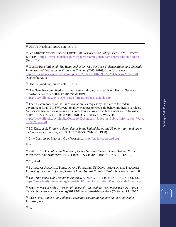<sup>28</sup> UNITY Roadmap, *supra* note [16,](#page-5-0) at 3.

<sup>29</sup> *See* UNIVERSITY OF CHICAGO CRIME LAB, *Research and Policy Brief*, BAM—SPORTS EDITION,"<https://crimelab.uchicago.edu/page/becoming-man-bam-sports-edition-findings> (July 2012).

<sup>30</sup> Charles Ransford, *et al*, *The Relationship between the Cure Violence Model and Citywide Increases and Decreases in Killings in Chicago (2000-2016)*, CURE VIOLENCE <http://cureviolence.org/wp-content/uploads/2016/09/2016.09.22-CV-Chicago-Memo.pdf> (September 2016).

<sup>31</sup> UNITY Roadmap, *supra* note [16,](#page-5-0) at 3.

<sup>32</sup> The State has committed to its improvement through a "Health and Human Services" Transformation." *See* HHS TRANSFORMATION, [https://www.illinois.gov/sites/hhstransformation/Pages/default.aspx.](https://www.illinois.gov/sites/hhstransformation/Pages/default.aspx)

 $33$  The first component of the Transformation is a request by the state to the federal government for a "1115 Waiver," to allow changes to Medicaid behavioral health services. NOTICE OF PUBLIC INFORMATION ILLINOIS DEPARTMENT OF HEALTHCARE AND FAMILY SERVICES: SECTION 1115 RESEARCH AND DEMONSTRATION WAIVER, [https://www.illinois.gov/hfs/SiteCollectionDocuments/Notice\\_of\\_Public\\_Information\\_Waive](https://www.illinois.gov/hfs/SiteCollectionDocuments/Notice_of_Public_Information_Waiver_090216rev.pdf) [r\\_090216rev.pdf.](https://www.illinois.gov/hfs/SiteCollectionDocuments/Notice_of_Public_Information_Waiver_090216rev.pdf)

<sup>34</sup> EG Krug, et al, *Firearm-related deaths in the United States and 35 other high- and uppermiddle-income countries*, 27 INT. J. EPIDEMIOL. 214-221 (1998).

<sup>35</sup> LAW CENTER TO PREVENT GUN VIOLENCE, [http://gunlawscorecard.org/.](http://gunlawscorecard.org/)

<sup>36</sup> *Id.*

 $\overline{a}$ 

<sup>37</sup> Philip J. Cook, *et al*, *Some Sources of Crime Guns in Chicago: Dirty Dealers, Straw Purchasers, and Traffickers*, 104 J. CRIM. L. & CRIMINOLOGY 717-759, 718 (2015).

<sup>38</sup> *Id.,* at 743.

<sup>39</sup> BUREAU OF ALCOHOL, TOBACCO AND FIREARMS, US DEPARTMENT OF THE TREASURY, *Following the Gun: Enforcing Federal Laws Against Firearms Traffickers* ix–x (June 2000).

<sup>40</sup> *The Truth about Gun Dealers in America*, BRADY CENTER TO PREVENT GUN VIOLENCE, [https://www.bradycampaign.org/sites/default/files/TheTruthAboutGunDealersInAmerica.pdf.](https://www.bradycampaign.org/sites/default/files/TheTruthAboutGunDealersInAmerica.pdf)

<sup>41</sup> Jennifer Mascia, *Only 7 Percent of Licensed Gun Dealers Were Inspected Last Year*, THE TRACE,<https://www.thetrace.org/2015/10/gun-store-atf-inspection/> (October 29, 2015).

<sup>42</sup> Fact Sheet, *Illinois Gun Violence Prevention Coalition: Supporting the Gun Dealer Licensing Act*.

<sup>43</sup> *Id.*

19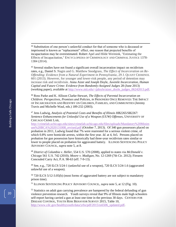<sup>44</sup> Substitution of one person's unlawful conduct for that of someone who is deceased or imprisoned is known as "replacement" effect, one reason that projected benefits of incapacitation may be overestimated. Robert Apel and Hilde Wermink, "Estimating the Effects of Incapacitation," ENCYCLOPEDIA OF CRIMINOLOGY AND CRIMINAL JUSTICE 1378- 1384 (2014).

<sup>45</sup> Several studies have not found a significant overall incarceration impact on recidivism rates, e.g., Daniel S. Nagin and G. Matthew Snodgrass, *The Effect of Incarceration on Re-Offending: Evidence from a Natural Experiment in Pennsylvania*, 29 J. QUANT CRIMINOL 601 (2013). However, for younger and lower-risk people, any period of detention may increase risk and recidivism. Anna Aizer and Joseph Doyle, *Juvenile Incarceration, Human Capital and Future Crime: Evidence from Randomly-Assigned Judges* 28 (June 2013) (working paper), available at [http://www.mit.edu/~jjdoyle/aizer\\_doyle\\_judges\\_06242013.pdf.](http://www.mit.edu/~jjdoyle/aizer_doyle_judges_06242013.pdf)

<sup>46</sup> Ross Parke and K. Allison Clarke-Stewart, *The Effects of Parental Incarceration on Children: Perspectives, Promises and Policies*, *in* PRISONERS ONCE REMOVED: THE IMPACT OF INCARCERATION AND REENTRY ON CHILDREN, FAMILIES, AND COMMUNITIES (Jeremy Travis and Michelle Waul, eds.) 189-232 (2003).

<sup>47</sup> Jens Ludwig, *Analysis of Potential Costs and Benefits of Illinois HB2265/SB2267: Sentence Enhancements for Unlawful Use of a Weapon (UUW) Offenses*, UNIVERSITY OF CHICAGO CRIME LAB,

[http://crimelab.uchicago.edu/sites/crimelab.uchicago.edu/files/uploads/Mandatory%20Minim](http://crimelab.uchicago.edu/sites/crimelab.uchicago.edu/files/uploads/Mandatory%20Minimum%20BCA%2020131008_revised.pdf) [um%20BCA%2020131008\\_revised.pdf](http://crimelab.uchicago.edu/sites/crimelab.uchicago.edu/files/uploads/Mandatory%20Minimum%20BCA%2020131008_revised.pdf) (October 7, 2013). Of 340 gun possessors placed on probation in 2011, Ludwig found that 7% were rearrested for a serious violent crime, of which 0.8% were homicide arrests, within the first year. *Id.* at 4, fn5. Persons placed on probation for gun possession have historically had three-year recidivism rates similar or lower to people placed on probation for aggravated battery. ILLINOIS SENTENCING POLICY ADVISORY COUNCIL, *supra* not[e 5,](#page-3-0) at 8.

<sup>48</sup> *District of Columbia v. Heller*, 554 U.S. 570 (2008), applied to states via *McDonald v. Chicago* 561 [U.S.](https://en.wikipedia.org/wiki/United_States_Reports) [742](https://supreme.justia.com/us/561/08-1521/index.html) (2010); *Moore v. Madigan*[, No. 12-1269 \(7th Cir. 2012\);](http://law.justia.com/cases/federal/appellate-courts/ca7/12-1269/12-1269-2012-12-11.html) Firearm Concealed Carry Act, P.A. 98-63 (eff. 7-9-13).

 $49$  See, e.g., 720 ILCS 5/24-1 (unlawful use of a weapon), 720 ILCS 5/24-1.6 (aggravated unlawful use of a weapon).

<sup>50</sup> 720 ILCS 5/12-3.05(h) (most forms of aggravated battery are not subject to mandatory prison time).

<sup>51</sup> ILLINOIS SENTENCING POLICY ADVISORY COUNCIL, *supra* note [5,](#page-3-0) at 12 (Fig. 10).

 $52$  Statistics on adult gun carrying prevalence are hampered by the federal defunding of gun violence prevention research. Youth surveys reveal that 9% of Illinois male high schoolers self-report having carried a gun at least one time in the previous 30 days. CENTERS FOR DISEASE CONTROL, YOUTH RISK BEHAVIOR SURVEY 2015, Table 10, [http://www.cdc.gov/healthyyouth/data/yrbs/pdf/2015/ss6506\\_updated.pdf.](http://www.cdc.gov/healthyyouth/data/yrbs/pdf/2015/ss6506_updated.pdf)

 $\overline{a}$ 

20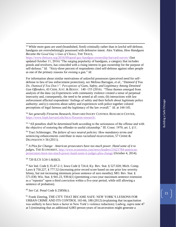<sup>53</sup> While more guns are used (brandished, fired) criminally rather than in lawful self-defense, handguns are overwhelmingly possessed with defensive intent. Alex Yablon, *How Handguns Became the Good Guy's Gun of Choice*, THE TRACE,

<https://www.thetrace.org/2016/09/good-guy-handgun-ownership-harvard-survey/> (last updated October 11, 2016) "The surging popularity of handguns, a category that includes pistols and revolvers, has coincided with a rising interest in gun ownership for the purpose of self-defense." *Id.* "Sixty-three percent of respondents cited self-defense against other people as one of the primary reasons for owning a gun." *Id.*

For information about similar motivations of unlawful possessors (perceived need for selfdefense in lieu of law enforcement protection), *see* Melissa Barragan, *et al*., "*Damned if You Do, Damned if You Don't": Perceptions of Guns, Safety, and Legitimacy Among Detained Gun Offenders,* 43 CRIM.JUST. & BEHAV. 140 -155 (2016). "Three themes emerged from analysis of the data: (a) Experiences with community violence created a sense of perpetual insecurity and, consequently, the need to be armed at all costs; (b) interactions with law enforcement affected respondents' feelings of safety and their beliefs about legitimate police authority; and (c) concerns about safety and experiences with police together colored perceptions of legal fairness and the legitimacy of the law overall." *Id*. at 144-145.

<sup>54</sup> *See generally Firearms* Research, HARVARD INJURY CONTROL RESEARCH CENTER, [https://www.hsph.harvard.edu/hicrc/firearms-research/.](https://www.hsph.harvard.edu/hicrc/firearms-research/)

<sup>55</sup> "All penalties shall be determined both according to the seriousness of the offense and with the objective of restoring the offender to useful citizenship." Ill. Const. 1970, art. I, §11.

<sup>56</sup> Traci Schlesinger, *The failure of race neutral policies: How mandatory terms and sentencing enhancements contribute to mass racialized incarceration*, 57 CRIME & DELINQUENCY 56 (2011).

<sup>57</sup> *A Plea for Change: American prosecutors have too much power. Hand some of it to judges*, THE ECONOMIST, [http://www.economist.com/news/leaders/21621784-american](http://www.economist.com/news/leaders/21621784-american-prosecutors-have-too-much-power-hand-some-it-judges-plea-change)[prosecutors-have-too-much-power-hand-some-it-judges-plea-change](http://www.economist.com/news/leaders/21621784-american-prosecutors-have-too-much-power-hand-some-it-judges-plea-change) (October 4, 2014).

<sup>58</sup> 720 ILCS 5/24-1.6(d)(2).

 $\overline{a}$ 

<sup>59</sup> *See* Ind. Code § 35-47-2-1; Iowa Code § 724.4; Ky. Rev. Stat. § 527.020; Mich. Comp. Laws § 750.227, § 777.52 (increasing prior record score based on one prior low severity felony, but not increasing minimum prison sentence of zero months); MO. Rev. Stat. § 571.030; Wis. Stat. § 941.23, 939.6(1) (permitting a two-year maximum sentence extension as a "repeater" upon a third conviction within a five-year period, while still allowing a sentence of probation).

<sup>60</sup> *See* Cal. Penal Code § 25850(c).

<sup>61</sup> Frank Zimring, THE CITY THAT BECAME SAFE: NEW YORK'S LESSONS FOR URBAN CRIME AND ITS CONTROL 165-66, 188 (2012) (explaining that incapacitation was unlikely to have been a factor in New York's violence reduction); Ludwig, *supra* note [47](#page-9-0) at 5 (estimating that an additional 6,083 person-years of incarceration might generate a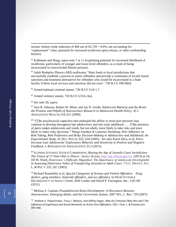serious violent crime reduction of 400 out of  $65,729 = 0.6\%$ , not accounting for "replacement" value, potential for increased recidivism upon release, or other confounding factors).

<sup>62</sup> Kollmann and Nong, *supra* note [7](#page-3-1) at 11 (explaining potential for increased likelihood of recidivism, particularly of younger and lower-level offenders, as a result of being incarcerated in overcrowded Illinois prisons).

<sup>63</sup> Adult Redeploy Illinois (ARI) reallocates "State funds to local jurisdictions that successfully establish a process to assess offenders and provide a continuum of locally based sanctions and treatment alternatives for offenders who would be incarcerated in a State facility if those local services and sanctions did not exist." 730 ILCS 190/20(b).

<sup>64</sup> Armed habitual criminal statute, 720 ILCS 5/24-1.7.

<sup>65</sup> Armed violence statute, 720 ILCS 5/33A-3(a).

<sup>66</sup> *See* note [50,](#page-9-1) *supra*.

 $\overline{a}$ 

<sup>67</sup> Sara B. Johnson, Robert W. Blum, and Jay N. Giedd, *Adolescent Maturity and the Brain: the Promise and Pitfalls of Neuroscience Research in Adolescent Health Policy*, 45 J. ADOLESCENT HEALTH 216-221 (2009).

<sup>68</sup> "[T]he psychosocial capacities that undergird the ability to resist peer pressure may continue to develop throughout late adolescence and into early adulthood. . . . [T]he presence of peers makes adolescents and youth, but not adults, more likely to take risks and more likely to make risky decisions." Margo Gardner & Laurence Steinberg, *Peer Influence on Risk Taking, Risk Preference and Risky Decision-Making in Adolescence and Adulthood: An Experimental Study*, 41 DEV. PSYCH. 625, 634 (2005). *See also* Karol Silva, *et al*, *Peers Increase Late Adolescents' Exploratory Behavior and Sensitivity to Positive and Negative Feedback*, J. RESEARCH ON ADOLESCENCE 25.3 (2015).

<sup>69</sup> ILLINOIS JUVENILE JUSTICE COMMISSION, *Raising the Age of Juvenile Court Jurisdiction: The Future of 17-Year-Olds in Illinois' Justice System*, <http://ijjc.illinois.gov/rta> (2013) at 24; Jill M. Ward, *Deterrence's Difficulty Magnified: The Importance of Adolescent Development in Assessing Deterrence Value of Transferring Juveniles to Adult Court*, 7 U.C. DAVIS J. JUV. L. & POL'Y 253, 267 (2003).

<sup>70</sup> Richard Rosenfeld, et al, *Special Categories of Serious and Violent Offenders: Drug dealers, gang members, homicide offenders, and sex offenders*, in FROM JUVENILE DELINQUENCY TO ADULT CRIME, Rolf Loeber and David P. Farrington, eds., 118-149 (2012).

<sup>71</sup> Melissa S. Caulum, *Postadolescent Brain Development: A Disconnect Between Neuroscience, Emerging Adults, and the Corrections System*, 2007 Wis. L. Rev. 729 (2007).

72 Andrew V. Papachristos, Tracy L. Meares, and Jeffrey Fagan, *Why Do Criminals Obey the Law? The Influence of Legitimacy and Social Networks on Active Gun Offenders*, 102 J. CRIM. L. & CRIMINOLOGY 397-440.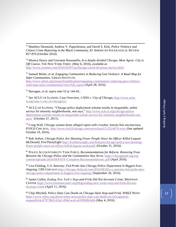<sup>73</sup> Matthew Desmond, Andrew V. Papachristos, and David S. Kirk, *Police Violence and Citizen Crime Reporting in the Black Community*, 81 AMERICAN SOCIOLOGICAL REVIEW 857-876 (October 2016).

<sup>74</sup> Monica Davey and Giovanni Russonello, *In a deeply divided Chicago, Most Agree: City is Off Course*, THE NEW YORK TIMES (May 6, 2016), available at: [http://www.nytimes.com/2016/05/07/us/chicago-racial-divisions-survey.html.](http://www.nytimes.com/2016/05/07/us/chicago-racial-divisions-survey.html)

<sup>75</sup> Samuel Bieler, *et al, Engaging Communities in Reducing Gun Violence: A Road Map for Safer Communities*, URBAN INSTITUTE,

[http://www.urban.org/research/publication/engaging-communities-reducing-gun-violence](http://www.urban.org/research/publication/engaging-communities-reducing-gun-violence-road-map-safer-communities/view/full_report)[road-map-safer-communities/view/full\\_report](http://www.urban.org/research/publication/engaging-communities-reducing-gun-violence-road-map-safer-communities/view/full_report) (April 28, 2016).

<sup>76</sup> Barragan, *et al*, *supra* note [53](#page-10-0) at 144-45*..*

 $\overline{a}$ 

<sup>77</sup> *See* ACLU OF ILLINOIS, Case Overview, *CANA v. City of Chicago*, [http://www.aclu](http://www.aclu-il.org/cana-v-city-of-chicago22/)[il.org/cana-v-city-of-chicago22/.](http://www.aclu-il.org/cana-v-city-of-chicago22/)

<sup>78</sup> ACLU OF ILLINOIS, "Chicago police deployment scheme results in inequitable, unfair service for minority neighborhoods, suit says," [http://www.aclu-il.org/chicago-police](http://www.aclu-il.org/chicago-police-deployment-scheme-results-in-inequitable-unfair-service-for-minority-neighborhoods-suit-says/)[deployment-scheme-results-in-inequitable-unfair-service-for-minority-neighborhoods-suit](http://www.aclu-il.org/chicago-police-deployment-scheme-results-in-inequitable-unfair-service-for-minority-neighborhoods-suit-says/)[says/](http://www.aclu-il.org/chicago-police-deployment-scheme-results-in-inequitable-unfair-service-for-minority-neighborhoods-suit-says/) (October 27, 2011).

<sup>79</sup> Craig Wall, *Chicago woman beats alleged rapist with crowbar, knocks him unconscious*, FOX32 CHICAGO, <http://www.fox32chicago.com/news/local/212314670-story> (last updated October 19, 2016).

<sup>80</sup> Rob Arthur, *Chicago Police Are Shooting Fewer People Since An Officer Killed Laquan McDonald*, FiveThirtyEight [http://fivethirtyeight.com/features/chicago-police-are-shooting](http://fivethirtyeight.com/features/chicago-police-are-shooting-fewer-people-since-an-officer-killed-laquan-mcdonald/)[fewer-people-since-an-officer-killed-laquan-mcdonald/](http://fivethirtyeight.com/features/chicago-police-are-shooting-fewer-people-since-an-officer-killed-laquan-mcdonald/) (October 31, 2016).

<sup>81</sup> POLICE ACCOUNTABILITY TASK FORCE, *Recommendations for Reform: Restoring Trust Between the Chicago Police and the Communities they Serve*, [https://chicagopatf.org/wp](https://chicagopatf.org/wp-content/uploads/2016/04/PATF-Complete-Recommendations-.pdf)[content/uploads/2016/04/PATF-Complete-Recommendations-.pdf](https://chicagopatf.org/wp-content/uploads/2016/04/PATF-Complete-Recommendations-.pdf) (April 2016).

<sup>82</sup> Lisa Fielding, *U.S. Attorney: Fed Probe Into Chicago Police Department Is Biggest Ever, Ongoing*, CBS CHICAGO [http://chicago.cbslocal.com/2016/09/26/u-s-attorney-fed-probe-into](http://chicago.cbslocal.com/2016/09/26/u-s-attorney-fed-probe-into-chicago-police-department-is-biggest-ever-ongoing/)[chicago-police-department-is-biggest-ever-ongoing/](http://chicago.cbslocal.com/2016/09/26/u-s-attorney-fed-probe-into-chicago-police-department-is-biggest-ever-ongoing/) (September 26, 2016).

<sup>83</sup> James Cullen, *Ending New York's Stop-and-Frisk Did Not Increase Crime*, BRENNAN CENTER [https://www.brennancenter.org/blog/ending-new-yorks-stop-and-frisk-did-not](https://www.brennancenter.org/blog/ending-new-yorks-stop-and-frisk-did-not-increase-crime)[increase-crime](https://www.brennancenter.org/blog/ending-new-yorks-stop-and-frisk-did-not-increase-crime) (April 11, 2016).

<sup>84</sup> Chip Mitchell, *Police Data Cast Doubt on Chicago-Style Stop-and-Frisk*, WBEZ NEWS [https://www.wbez.org/shows/wbez-news/police-data-cast-doubt-on-chicagostyle](https://www.wbez.org/shows/wbez-news/police-data-cast-doubt-on-chicagostyle-stopandfrisk/d79738c6-b5a2-494d-acaf-e659969b3e6b)[stopandfrisk/d79738c6-b5a2-494d-acaf-e659969b3e6b](https://www.wbez.org/shows/wbez-news/police-data-cast-doubt-on-chicagostyle-stopandfrisk/d79738c6-b5a2-494d-acaf-e659969b3e6b) (May 4, 2016).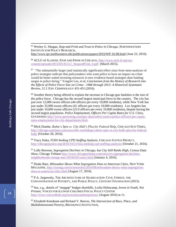<sup>85</sup> Wesley G. Skogan, *Stop-and Frisk and Trust in Police in Chicago*, NORTHWESTERN INSTITUTE FOR POLICY RESEARCH, <http://www.ipr.northwestern.edu/publications/papers/2016/WP-16-08.html> (June 23, 2016).

<sup>86</sup> ACLU OF ILLINOIS, STOP AND FRISK IN CHICAGO, [http://www.aclu-il.org/wp](http://www.aclu-il.org/wp-content/uploads/2015/03/ACLU_StopandFrisk_6.pdf)[content/uploads/2015/03/ACLU\\_StopandFrisk\\_6.pdf](http://www.aclu-il.org/wp-content/uploads/2015/03/ACLU_StopandFrisk_6.pdf) (March 2015).

<sup>87</sup> "The substantially larger (and statistically significant) effect sizes from meta-analyses of police strategies indicate that policymakers who want police to have an impact on crime would be better suited investing resources in new evidence-based strategies than funding surges in police hiring." YongJei Lee, *et al, Conclusions from the History of Research into the Effects of Police Force Size on Crime—1968 through 2013: A Historical Systematic Review*, 12 J. EXP. CRIMINOLOGY 431-451 (2016).

<sup>88</sup> Another theory being offered to explain the increase in Chicago gun fatalities is the size of the police force. Chicago has the second largest municipal force in the country. The city has just over 12,000 sworn officers (44 officers per every 10,000 residents), while New York has just under 35,000 sworn officers (41 officers per every 10,000 residents). Los Angeles has just under 10,000 sworn officers (25.9 officers per every 10,000 residents), despite having the second largest population. *Police Employment, Officers Per Capita Rates for U.S. Cities*, GOVERNING [http://www.governing.com/gov-data/safety-justice/police-officers-per-capita](http://www.governing.com/gov-data/safety-justice/police-officers-per-capita-rates-employment-for-city-departments.html)[rates-employment-for-city-departments.html.](http://www.governing.com/gov-data/safety-justice/police-officers-per-capita-rates-employment-for-city-departments.html)

<sup>89</sup> Mick Dumke, *Rahm's Spin vs. City Hall's Plea for Federal Help*, CHICAGO SUN-TIMES, [http://chicago.suntimes.com/news/the-watchdogs-rahms-spin-vs-city-halls-plea-for-federal](http://chicago.suntimes.com/news/the-watchdogs-rahms-spin-vs-city-halls-plea-for-federal-help/)[help/](http://chicago.suntimes.com/news/the-watchdogs-rahms-spin-vs-city-halls-plea-for-federal-help/) (October 28, 2016).

<sup>90</sup> Tracy Siska, *FOIA Seeking CPD Staffing Analysis*, CHICAGO JUSTICE PROJECT, <http://chicagojustice.org/2016/10/21/foia-seeking-cpd-staffing-analysis/> (October 21, 2016).

<sup>91</sup> Lolly Bowean, *Segregation Declines in Chicago, but City Still Ranks High, Census Data Show,* Chicago Tribune [http://www.chicagotribune.com/news/ct-segregation-declines](http://www.chicagotribune.com/news/ct-segregation-declines-neighborhoods-change-met-20160103-story.html)[neighborhoods-change-met-20160103-story.html](http://www.chicagotribune.com/news/ct-segregation-declines-neighborhoods-change-met-20160103-story.html) (January 4, 2016).

<sup>92</sup> Drake Baer, *Milwaukee Shows What Segregation Does to American Cities*, NEW YORK MAGAZINE, [http://nymag.com/scienceofus/2016/08/milwaukee-shows-what-segregation](http://nymag.com/scienceofus/2016/08/milwaukee-shows-what-segregation-does-to-american-cities.html)[does-to-american-cities.html](http://nymag.com/scienceofus/2016/08/milwaukee-shows-what-segregation-does-to-american-cities.html) (August 17, 2016).

<sup>93</sup> P.A. Jargowsky, THE ARCHITECTURE OF SEGREGATION: CIVIL UNREST, THE CONCENTRATION OF POVERTY, AND PUBLIC POLICY, CENTURY FOUNDATION (2015).

<sup>94</sup> See, e.g., details of "stopgap" budget shortfalls, Leslie Helmcamp, *Invest in Youth, Not Prisons,* VOICES FOR ILLINOIS CHILDREN FISCAL POLICY CENTER <http://www.voices4kids.org/investinyouthnotprisons/> (August 2016) at 11.

<sup>95</sup> Elizabeth Kneebone and Richard V. Reeves, *The Intersection of Race, Place, and Multidimensional Poverty*, BROOKINGS INSTITUTION,

 $\overline{a}$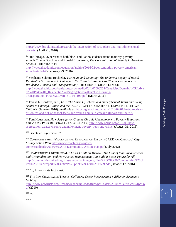[https://www.brookings.edu/research/the-intersection-of-race-place-and-multidimensional](https://www.brookings.edu/research/the-intersection-of-race-place-and-multidimensional-poverty/)[poverty/](https://www.brookings.edu/research/the-intersection-of-race-place-and-multidimensional-poverty/) (April 21, 2016).

<sup>96</sup> "In Chicago, 96 percent of both black and Latino students attend majority-poverty schools." Janie Boschma and Ronald Brownstein, *The Concentration of Poverty in American Schools*, THE ATLANTIC

[http://www.theatlantic.com/education/archive/2016/02/concentration-poverty-american](http://www.theatlantic.com/education/archive/2016/02/concentration-poverty-american-schools/471414/)[schools/471414/](http://www.theatlantic.com/education/archive/2016/02/concentration-poverty-american-schools/471414/) (February 29, 2016).

<sup>97</sup> Stephanie Schmitz Bechteler, *100 Years and Counting: The Enduring Legacy of Racial Residential Segregation in Chicago in the Post-Civil Rights Era (Part one -- Impact on Residence, Housing and Transportation),* THE CHICAGO URBAN LEAGUE, [http://www.thechicagourbanleague.org/cms/lib07/IL07000264/Centricity/Domain/1/CULtiva](http://www.thechicagourbanleague.org/cms/lib07/IL07000264/Centricity/Domain/1/CULtivate%20Part%201_Residential%20Segregation%20and%20Housing-Transportation_Final%20Draft_3-1-16_10P.pdf) [te%20Part%201\\_Residential%20Segregation%20and%20Housing-](http://www.thechicagourbanleague.org/cms/lib07/IL07000264/Centricity/Domain/1/CULtivate%20Part%201_Residential%20Segregation%20and%20Housing-Transportation_Final%20Draft_3-1-16_10P.pdf)[Transportation\\_Final%20Draft\\_3-1-16\\_10P.pdf](http://www.thechicagourbanleague.org/cms/lib07/IL07000264/Centricity/Domain/1/CULtivate%20Part%201_Residential%20Segregation%20and%20Housing-Transportation_Final%20Draft_3-1-16_10P.pdf) (March 2016).

<sup>98</sup> Teresa L. Córdova, *et al*, *Lost: The Crisis Of Jobless and Out Of School Teens and Young Adults In Chicago, Illinois and the U.S.,* GREAT CITIES INSTITUTE, UNIV. OF ILLINOIS AT CHICAGO (January 2016), *available at:* [https://greatcities.uic.edu/2016/02/01/lost-the-crisis](https://greatcities.uic.edu/2016/02/01/lost-the-crisis-of-jobless-and-out-of-school-teens-and-young-adults-in-chicago-illinois-and-the-u-s/)[of-jobless-and-out-of-school-teens-and-young-adults-in-chicago-illinois-and-the-u-s/.](https://greatcities.uic.edu/2016/02/01/lost-the-crisis-of-jobless-and-out-of-school-teens-and-young-adults-in-chicago-illinois-and-the-u-s/)

<sup>99</sup> Tom Houseman, *How Segregation Creates Chronic Unemployment, Poverty Traps, and Crime*, OAK PARK REGIONAL HOUSING CENTER, [http://www.oprhc.org/2016/08/how](http://www.oprhc.org/2016/08/how-segregation-creates-chronic-unemployment-poverty-traps-and-crime/)[segregation-creates-chronic-unemployment-poverty-traps-and-crime/](http://www.oprhc.org/2016/08/how-segregation-creates-chronic-unemployment-poverty-traps-and-crime/) (August 31, 2016).

<sup>100</sup> Bechteler, *supra* note [97.](#page-15-0)

<sup>101</sup> COMMUNITY ANTI-VIOLENCE AND RESTORATION EFFORT (CARE FOR CHICAGO) *City-County Action Plan*, [http://www.ccachicago.org/wp](http://www.ccachicago.org/wp-content/uploads/2015/08/CARE4Community-Action-Plan.pdf)[content/uploads/2015/08/CARE4Community-Action-Plan.pdf](http://www.ccachicago.org/wp-content/uploads/2015/08/CARE4Community-Action-Plan.pdf) (July 2012).

<sup>102</sup> COMMUNITIES UNITED, ET AL, *The \$3.4 Trillion Mistake: The Cost of Mass Incarceration and Criminalization, and How Justice Reinvestment Can Build a Better Future for All,*  [http://communitiesunited.org/sites/apncorganizing.org/files/PROOF%20Communities%20Un](http://communitiesunited.org/sites/apncorganizing.org/files/PROOF%20Communities%20United%20JR%20report%20%28for%20print%29%20%281%29.pdf) [ited%20JR%20report%20%28for%20print%29%20%281%29.pdf](http://communitiesunited.org/sites/apncorganizing.org/files/PROOF%20Communities%20United%20JR%20report%20%28for%20print%29%20%281%29.pdf) (October 17, 2016).

<sup>103</sup> *Id.*; Illinois state fact sheet.

<sup>104</sup> THE PEW CHARITABLE TRUSTS, *Collateral Costs: Incarceration's Effect on Economic Mobility* 

[http://www.pewtrusts.org/~/media/legacy/uploadedfiles/pcs\\_assets/2010/collateralcosts1pdf.p](http://www.pewtrusts.org/~/media/legacy/uploadedfiles/pcs_assets/2010/collateralcosts1pdf.pdf) [df](http://www.pewtrusts.org/~/media/legacy/uploadedfiles/pcs_assets/2010/collateralcosts1pdf.pdf) (2010).

<sup>105</sup> *Id.*

 $\overline{a}$ 

<sup>106</sup> *Id.*